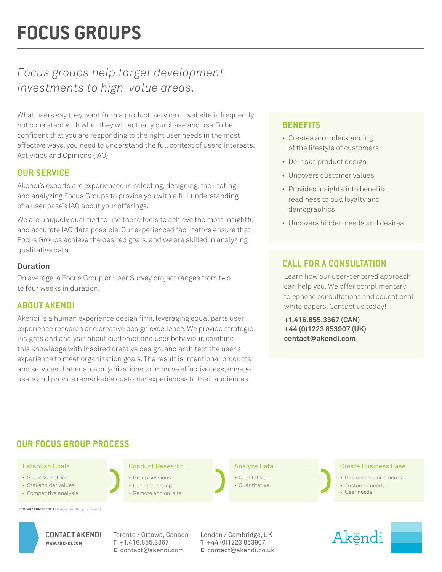# **FOCUS GROUPS**

## *Focus groups help target development investments to high-value areas.*

What users say they want from a product, service or website is frequently not consistent with what they will actually purchase and use. To be confident that you are responding to the right user needs in the most effective ways, you need to understand the full context of users' Interests, Activities and Opinions (IAO).

#### **OUR SERVICE**

Akendi's experts are experienced in selecting, designing, facilitating and analyzing Focus Groups to provide you with a full understanding of a user base's IAO about your offerings.

We are uniquely qualified to use these tools to achieve the most insightful and accurate IAO data possible. Our experienced facilitators ensure that Focus Groups achieve the desired goals, and we are skilled in analyzing qualitative data.

#### **Duration**

On average, a Focus Group or User Survey project ranges from two to four weeks in duration.

#### **ABOUT AKENDI**

Akendi is a human experience design firm, leveraging equal parts user experience research and creative design excellence. We provide strategic insights and analysis about customer and user behaviour, combine this knowledge with inspired creative design, and architect the user's experience to meet organization goals. The result is intentional products and services that enable organizations to improve effectiveness, engage users and provide remarkable customer experiences to their audiences.

#### **BENEFITS**

- Creates an understanding of the lifestyle of customers
- De-risks product design
- Uncovers customer values
- Provides insights into benefits, readiness to buy, loyalty and demographics
- Uncovers hidden needs and desires

#### **CALL FOR A CONSULTATION**

Learn how our user-centered approach can help you. We offer complimentary telephone consultations and educational white papers. Contact us today!

**+1.416.855.3367 (CAN) +44 (0)1223 853907 (UK) contact@akendi.com**

### **OUR FOCUS GROUP PROCESS**

#### Establish Goals

- Success metrics
- Stakeholder values
- Competitive analysis

**COMPANY CONFIDENTIAL** © Akendi Inc. A



Conduct Research **Analyze Data** 

- Group sessions • Concept testing
- Remote and on-site

• Qualitative • Quantitative

#### Create Business Case

- Business requirements
- 
- Customer needs • User needs

CONTACT AKENDI Toronto / Ottawa, Canada London / Cambridge, UK **t** +1.416.855.3367 **e** contact@akendi.com

**t** +44 (0)1223 853907 **e** contact@akendi.co.uk